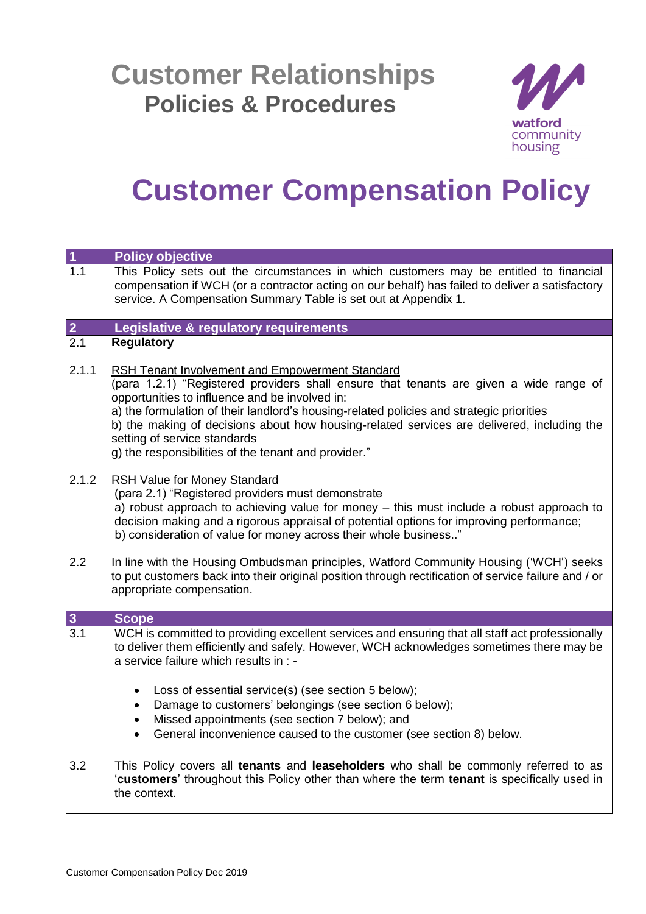## **Customer Relationships Policies & Procedures**



## **Customer Compensation Policy**

| $\overline{\mathbf{1}}$ | <b>Policy objective</b>                                                                                                                                                                                                                                                                                                                                                                                                                                                              |
|-------------------------|--------------------------------------------------------------------------------------------------------------------------------------------------------------------------------------------------------------------------------------------------------------------------------------------------------------------------------------------------------------------------------------------------------------------------------------------------------------------------------------|
| $\overline{1.1}$        | This Policy sets out the circumstances in which customers may be entitled to financial<br>compensation if WCH (or a contractor acting on our behalf) has failed to deliver a satisfactory<br>service. A Compensation Summary Table is set out at Appendix 1.                                                                                                                                                                                                                         |
| 2 <sub>1</sub>          | Legislative & regulatory requirements                                                                                                                                                                                                                                                                                                                                                                                                                                                |
| 2.1                     | Regulatory                                                                                                                                                                                                                                                                                                                                                                                                                                                                           |
| 2.1.1                   | <b>RSH Tenant Involvement and Empowerment Standard</b><br>(para 1.2.1) "Registered providers shall ensure that tenants are given a wide range of<br>opportunities to influence and be involved in:<br>a) the formulation of their landlord's housing-related policies and strategic priorities<br>b) the making of decisions about how housing-related services are delivered, including the<br>setting of service standards<br>g) the responsibilities of the tenant and provider." |
| 2.1.2                   | <b>RSH Value for Money Standard</b><br>(para 2.1) "Registered providers must demonstrate<br>a) robust approach to achieving value for money – this must include a robust approach to<br>decision making and a rigorous appraisal of potential options for improving performance;<br>b) consideration of value for money across their whole business"                                                                                                                                 |
| 2.2                     | In line with the Housing Ombudsman principles, Watford Community Housing ('WCH') seeks<br>to put customers back into their original position through rectification of service failure and / or<br>appropriate compensation.                                                                                                                                                                                                                                                          |
| $\overline{\mathbf{3}}$ | <b>Scope</b>                                                                                                                                                                                                                                                                                                                                                                                                                                                                         |
| $\overline{3.1}$        | WCH is committed to providing excellent services and ensuring that all staff act professionally<br>to deliver them efficiently and safely. However, WCH acknowledges sometimes there may be<br>a service failure which results in : -<br>Loss of essential service(s) (see section 5 below);<br>$\bullet$<br>Damage to customers' belongings (see section 6 below);<br>$\bullet$                                                                                                     |
|                         | Missed appointments (see section 7 below); and<br>$\bullet$                                                                                                                                                                                                                                                                                                                                                                                                                          |
|                         | General inconvenience caused to the customer (see section 8) below.<br>$\bullet$                                                                                                                                                                                                                                                                                                                                                                                                     |
| 3.2                     | This Policy covers all tenants and leaseholders who shall be commonly referred to as<br>'customers' throughout this Policy other than where the term tenant is specifically used in<br>the context.                                                                                                                                                                                                                                                                                  |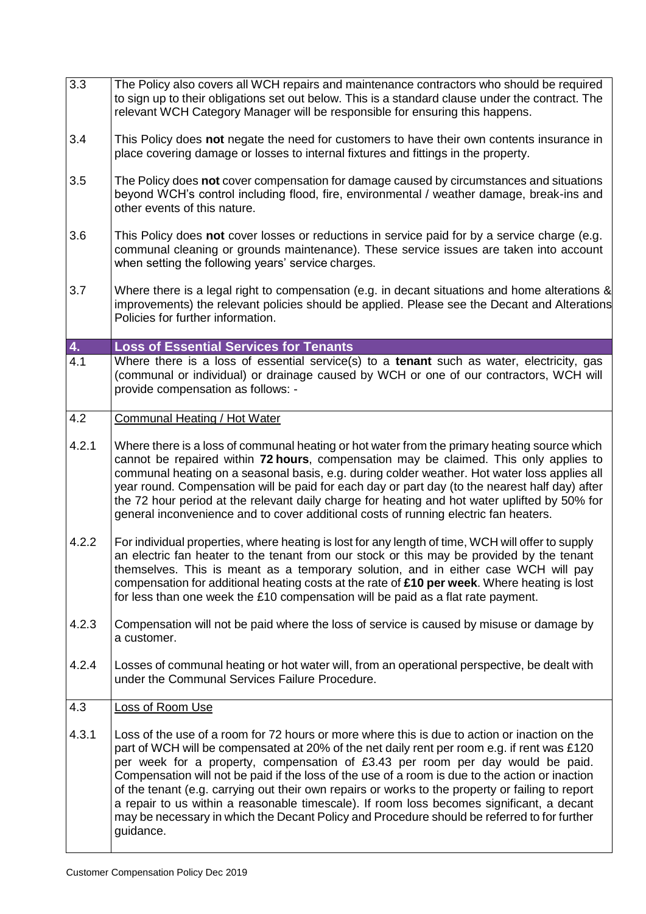| $\overline{3.3}$ | The Policy also covers all WCH repairs and maintenance contractors who should be required<br>to sign up to their obligations set out below. This is a standard clause under the contract. The<br>relevant WCH Category Manager will be responsible for ensuring this happens.                                                                                                                                                                                                                                                                                                                                                                                                                  |
|------------------|------------------------------------------------------------------------------------------------------------------------------------------------------------------------------------------------------------------------------------------------------------------------------------------------------------------------------------------------------------------------------------------------------------------------------------------------------------------------------------------------------------------------------------------------------------------------------------------------------------------------------------------------------------------------------------------------|
| 3.4              | This Policy does not negate the need for customers to have their own contents insurance in<br>place covering damage or losses to internal fixtures and fittings in the property.                                                                                                                                                                                                                                                                                                                                                                                                                                                                                                               |
| 3.5              | The Policy does not cover compensation for damage caused by circumstances and situations<br>beyond WCH's control including flood, fire, environmental / weather damage, break-ins and<br>other events of this nature.                                                                                                                                                                                                                                                                                                                                                                                                                                                                          |
| 3.6              | This Policy does not cover losses or reductions in service paid for by a service charge (e.g.<br>communal cleaning or grounds maintenance). These service issues are taken into account<br>when setting the following years' service charges.                                                                                                                                                                                                                                                                                                                                                                                                                                                  |
| 3.7              | Where there is a legal right to compensation (e.g. in decant situations and home alterations &<br>improvements) the relevant policies should be applied. Please see the Decant and Alterations<br>Policies for further information.                                                                                                                                                                                                                                                                                                                                                                                                                                                            |
| 4.               | <b>Loss of Essential Services for Tenants</b>                                                                                                                                                                                                                                                                                                                                                                                                                                                                                                                                                                                                                                                  |
| 4.1              | Where there is a loss of essential service(s) to a tenant such as water, electricity, gas<br>(communal or individual) or drainage caused by WCH or one of our contractors, WCH will<br>provide compensation as follows: -                                                                                                                                                                                                                                                                                                                                                                                                                                                                      |
| 4.2              | <b>Communal Heating / Hot Water</b>                                                                                                                                                                                                                                                                                                                                                                                                                                                                                                                                                                                                                                                            |
| 4.2.1            | Where there is a loss of communal heating or hot water from the primary heating source which<br>cannot be repaired within 72 hours, compensation may be claimed. This only applies to<br>communal heating on a seasonal basis, e.g. during colder weather. Hot water loss applies all<br>year round. Compensation will be paid for each day or part day (to the nearest half day) after<br>the 72 hour period at the relevant daily charge for heating and hot water uplifted by 50% for<br>general inconvenience and to cover additional costs of running electric fan heaters.                                                                                                               |
| 4.2.2            | For individual properties, where heating is lost for any length of time, WCH will offer to supply<br>an electric fan heater to the tenant from our stock or this may be provided by the tenant<br>themselves. This is meant as a temporary solution, and in either case WCH will pay<br>compensation for additional heating costs at the rate of £10 per week. Where heating is lost<br>for less than one week the £10 compensation will be paid as a flat rate payment.                                                                                                                                                                                                                       |
| 4.2.3            | Compensation will not be paid where the loss of service is caused by misuse or damage by<br>a customer.                                                                                                                                                                                                                                                                                                                                                                                                                                                                                                                                                                                        |
| 4.2.4            | Losses of communal heating or hot water will, from an operational perspective, be dealt with<br>under the Communal Services Failure Procedure.                                                                                                                                                                                                                                                                                                                                                                                                                                                                                                                                                 |
| 4.3              | Loss of Room Use                                                                                                                                                                                                                                                                                                                                                                                                                                                                                                                                                                                                                                                                               |
| 4.3.1            | Loss of the use of a room for 72 hours or more where this is due to action or inaction on the<br>part of WCH will be compensated at 20% of the net daily rent per room e.g. if rent was £120<br>per week for a property, compensation of £3.43 per room per day would be paid.<br>Compensation will not be paid if the loss of the use of a room is due to the action or inaction<br>of the tenant (e.g. carrying out their own repairs or works to the property or failing to report<br>a repair to us within a reasonable timescale). If room loss becomes significant, a decant<br>may be necessary in which the Decant Policy and Procedure should be referred to for further<br>guidance. |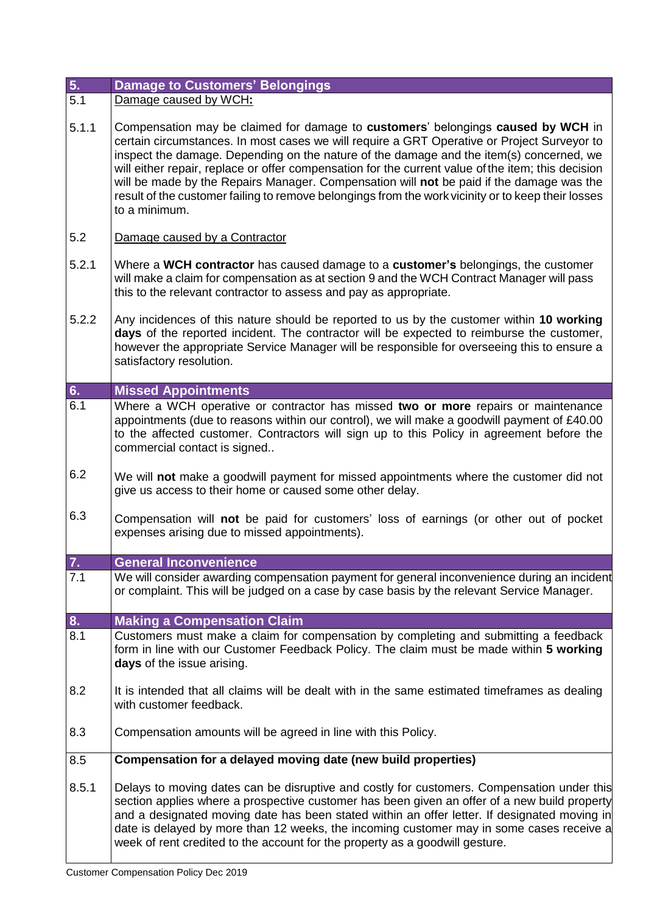| 5.                  | <b>Damage to Customers' Belongings</b>                                                                                                                                                                                                                                                                                                                                                                                                                                                                                                                                                              |
|---------------------|-----------------------------------------------------------------------------------------------------------------------------------------------------------------------------------------------------------------------------------------------------------------------------------------------------------------------------------------------------------------------------------------------------------------------------------------------------------------------------------------------------------------------------------------------------------------------------------------------------|
| 5.1                 | Damage caused by WCH:                                                                                                                                                                                                                                                                                                                                                                                                                                                                                                                                                                               |
| 5.1.1               | Compensation may be claimed for damage to customers' belongings caused by WCH in<br>certain circumstances. In most cases we will require a GRT Operative or Project Surveyor to<br>inspect the damage. Depending on the nature of the damage and the item(s) concerned, we<br>will either repair, replace or offer compensation for the current value of the item; this decision<br>will be made by the Repairs Manager. Compensation will not be paid if the damage was the<br>result of the customer failing to remove belongings from the work vicinity or to keep their losses<br>to a minimum. |
| 5.2                 | Damage caused by a Contractor                                                                                                                                                                                                                                                                                                                                                                                                                                                                                                                                                                       |
| 5.2.1               | Where a WCH contractor has caused damage to a customer's belongings, the customer<br>will make a claim for compensation as at section 9 and the WCH Contract Manager will pass<br>this to the relevant contractor to assess and pay as appropriate.                                                                                                                                                                                                                                                                                                                                                 |
| 5.2.2               | Any incidences of this nature should be reported to us by the customer within 10 working<br>days of the reported incident. The contractor will be expected to reimburse the customer,<br>however the appropriate Service Manager will be responsible for overseeing this to ensure a<br>satisfactory resolution.                                                                                                                                                                                                                                                                                    |
| 6.                  | <b>Missed Appointments</b>                                                                                                                                                                                                                                                                                                                                                                                                                                                                                                                                                                          |
| 6.1                 | Where a WCH operative or contractor has missed two or more repairs or maintenance<br>appointments (due to reasons within our control), we will make a goodwill payment of £40.00<br>to the affected customer. Contractors will sign up to this Policy in agreement before the<br>commercial contact is signed                                                                                                                                                                                                                                                                                       |
| 6.2                 | We will not make a goodwill payment for missed appointments where the customer did not<br>give us access to their home or caused some other delay.                                                                                                                                                                                                                                                                                                                                                                                                                                                  |
| 6.3                 | Compensation will not be paid for customers' loss of earnings (or other out of pocket<br>expenses arising due to missed appointments).                                                                                                                                                                                                                                                                                                                                                                                                                                                              |
| $\boldsymbol{\Phi}$ | <b>General Inconvenience</b>                                                                                                                                                                                                                                                                                                                                                                                                                                                                                                                                                                        |
| $\overline{7.1}$    | We will consider awarding compensation payment for general inconvenience during an incident<br>or complaint. This will be judged on a case by case basis by the relevant Service Manager.                                                                                                                                                                                                                                                                                                                                                                                                           |
| 8.                  | <b>Making a Compensation Claim</b>                                                                                                                                                                                                                                                                                                                                                                                                                                                                                                                                                                  |
| $\overline{8.1}$    | Customers must make a claim for compensation by completing and submitting a feedback<br>form in line with our Customer Feedback Policy. The claim must be made within 5 working<br>days of the issue arising.                                                                                                                                                                                                                                                                                                                                                                                       |
| 8.2                 | It is intended that all claims will be dealt with in the same estimated timeframes as dealing<br>with customer feedback.                                                                                                                                                                                                                                                                                                                                                                                                                                                                            |
| 8.3                 | Compensation amounts will be agreed in line with this Policy.                                                                                                                                                                                                                                                                                                                                                                                                                                                                                                                                       |
| 8.5                 | Compensation for a delayed moving date (new build properties)                                                                                                                                                                                                                                                                                                                                                                                                                                                                                                                                       |
| 8.5.1               | Delays to moving dates can be disruptive and costly for customers. Compensation under this<br>section applies where a prospective customer has been given an offer of a new build property<br>and a designated moving date has been stated within an offer letter. If designated moving in<br>date is delayed by more than 12 weeks, the incoming customer may in some cases receive a<br>week of rent credited to the account for the property as a goodwill gesture.                                                                                                                              |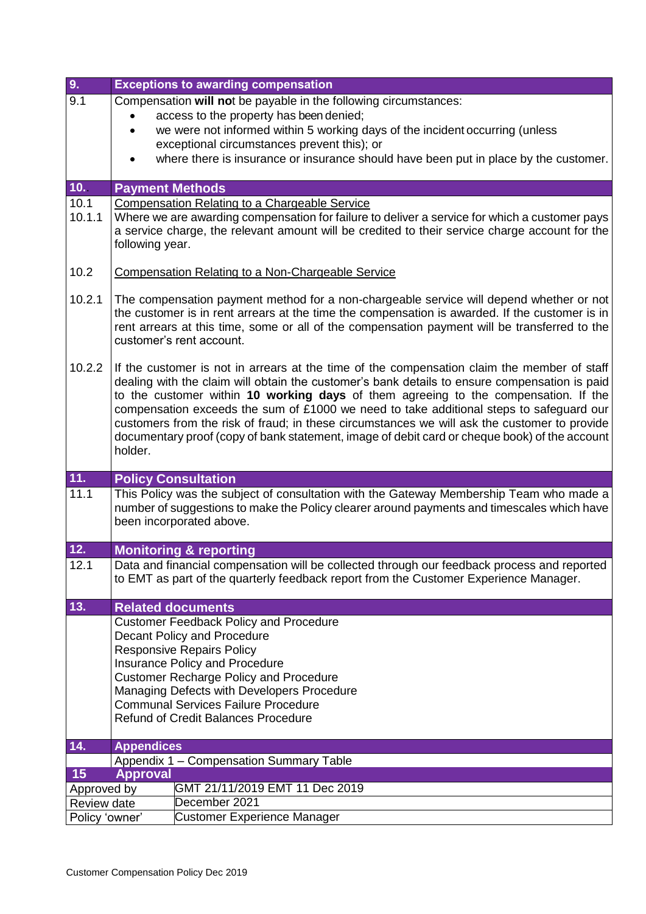| 9.             | <b>Exceptions to awarding compensation</b>                                                                                                                                                                                                                                                                                                                                                                                                                                                                                                                                                 |  |  |  |  |
|----------------|--------------------------------------------------------------------------------------------------------------------------------------------------------------------------------------------------------------------------------------------------------------------------------------------------------------------------------------------------------------------------------------------------------------------------------------------------------------------------------------------------------------------------------------------------------------------------------------------|--|--|--|--|
| 9.1            | Compensation will not be payable in the following circumstances:                                                                                                                                                                                                                                                                                                                                                                                                                                                                                                                           |  |  |  |  |
|                | access to the property has been denied;                                                                                                                                                                                                                                                                                                                                                                                                                                                                                                                                                    |  |  |  |  |
|                | we were not informed within 5 working days of the incident occurring (unless<br>$\bullet$<br>exceptional circumstances prevent this); or                                                                                                                                                                                                                                                                                                                                                                                                                                                   |  |  |  |  |
|                | where there is insurance or insurance should have been put in place by the customer.                                                                                                                                                                                                                                                                                                                                                                                                                                                                                                       |  |  |  |  |
|                |                                                                                                                                                                                                                                                                                                                                                                                                                                                                                                                                                                                            |  |  |  |  |
| 10.            | <b>Payment Methods</b>                                                                                                                                                                                                                                                                                                                                                                                                                                                                                                                                                                     |  |  |  |  |
| 10.1           | Compensation Relating to a Chargeable Service                                                                                                                                                                                                                                                                                                                                                                                                                                                                                                                                              |  |  |  |  |
| 10.1.1         | Where we are awarding compensation for failure to deliver a service for which a customer pays<br>a service charge, the relevant amount will be credited to their service charge account for the<br>following year.                                                                                                                                                                                                                                                                                                                                                                         |  |  |  |  |
| 10.2           | <b>Compensation Relating to a Non-Chargeable Service</b>                                                                                                                                                                                                                                                                                                                                                                                                                                                                                                                                   |  |  |  |  |
| 10.2.1         | The compensation payment method for a non-chargeable service will depend whether or not<br>the customer is in rent arrears at the time the compensation is awarded. If the customer is in<br>rent arrears at this time, some or all of the compensation payment will be transferred to the<br>customer's rent account.                                                                                                                                                                                                                                                                     |  |  |  |  |
| 10.2.2         | If the customer is not in arrears at the time of the compensation claim the member of staff<br>dealing with the claim will obtain the customer's bank details to ensure compensation is paid<br>to the customer within 10 working days of them agreeing to the compensation. If the<br>compensation exceeds the sum of £1000 we need to take additional steps to safeguard our<br>customers from the risk of fraud; in these circumstances we will ask the customer to provide<br>documentary proof (copy of bank statement, image of debit card or cheque book) of the account<br>holder. |  |  |  |  |
| 11.            | <b>Policy Consultation</b>                                                                                                                                                                                                                                                                                                                                                                                                                                                                                                                                                                 |  |  |  |  |
| 11.1           | This Policy was the subject of consultation with the Gateway Membership Team who made a<br>number of suggestions to make the Policy clearer around payments and timescales which have<br>been incorporated above.                                                                                                                                                                                                                                                                                                                                                                          |  |  |  |  |
| 12.            | <b>Monitoring &amp; reporting</b>                                                                                                                                                                                                                                                                                                                                                                                                                                                                                                                                                          |  |  |  |  |
| 12.1           | Data and financial compensation will be collected through our feedback process and reported<br>to EMT as part of the quarterly feedback report from the Customer Experience Manager.                                                                                                                                                                                                                                                                                                                                                                                                       |  |  |  |  |
| 13.            | <b>Related documents</b>                                                                                                                                                                                                                                                                                                                                                                                                                                                                                                                                                                   |  |  |  |  |
|                | <b>Customer Feedback Policy and Procedure</b>                                                                                                                                                                                                                                                                                                                                                                                                                                                                                                                                              |  |  |  |  |
|                | <b>Decant Policy and Procedure</b><br><b>Responsive Repairs Policy</b>                                                                                                                                                                                                                                                                                                                                                                                                                                                                                                                     |  |  |  |  |
|                | Insurance Policy and Procedure                                                                                                                                                                                                                                                                                                                                                                                                                                                                                                                                                             |  |  |  |  |
|                | <b>Customer Recharge Policy and Procedure</b>                                                                                                                                                                                                                                                                                                                                                                                                                                                                                                                                              |  |  |  |  |
|                | Managing Defects with Developers Procedure                                                                                                                                                                                                                                                                                                                                                                                                                                                                                                                                                 |  |  |  |  |
|                | <b>Communal Services Failure Procedure</b>                                                                                                                                                                                                                                                                                                                                                                                                                                                                                                                                                 |  |  |  |  |
|                | <b>Refund of Credit Balances Procedure</b>                                                                                                                                                                                                                                                                                                                                                                                                                                                                                                                                                 |  |  |  |  |
| 14.            | <b>Appendices</b>                                                                                                                                                                                                                                                                                                                                                                                                                                                                                                                                                                          |  |  |  |  |
|                | Appendix 1 - Compensation Summary Table                                                                                                                                                                                                                                                                                                                                                                                                                                                                                                                                                    |  |  |  |  |
| 15             | <b>Approval</b>                                                                                                                                                                                                                                                                                                                                                                                                                                                                                                                                                                            |  |  |  |  |
| Approved by    | GMT 21/11/2019 EMT 11 Dec 2019                                                                                                                                                                                                                                                                                                                                                                                                                                                                                                                                                             |  |  |  |  |
| Review date    | December 2021                                                                                                                                                                                                                                                                                                                                                                                                                                                                                                                                                                              |  |  |  |  |
| Policy 'owner' | <b>Customer Experience Manager</b>                                                                                                                                                                                                                                                                                                                                                                                                                                                                                                                                                         |  |  |  |  |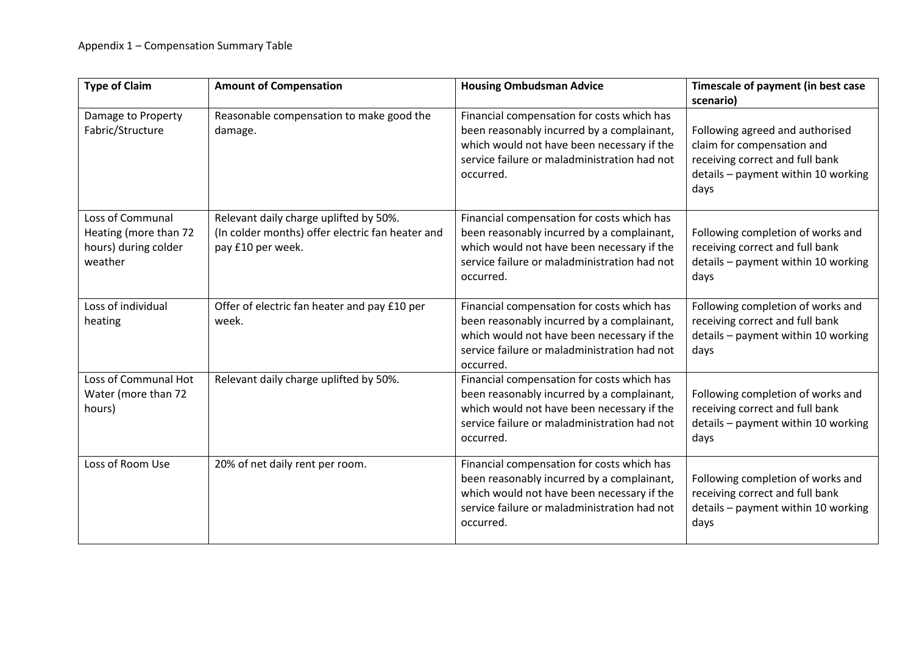| <b>Type of Claim</b>                                                         | <b>Amount of Compensation</b>                                                                                   | <b>Housing Ombudsman Advice</b>                                                                                                                                                                     | Timescale of payment (in best case<br>scenario)                                                                                                 |
|------------------------------------------------------------------------------|-----------------------------------------------------------------------------------------------------------------|-----------------------------------------------------------------------------------------------------------------------------------------------------------------------------------------------------|-------------------------------------------------------------------------------------------------------------------------------------------------|
| Damage to Property<br>Fabric/Structure                                       | Reasonable compensation to make good the<br>damage.                                                             | Financial compensation for costs which has<br>been reasonably incurred by a complainant,<br>which would not have been necessary if the<br>service failure or maladministration had not<br>occurred. | Following agreed and authorised<br>claim for compensation and<br>receiving correct and full bank<br>details - payment within 10 working<br>days |
| Loss of Communal<br>Heating (more than 72<br>hours) during colder<br>weather | Relevant daily charge uplifted by 50%.<br>(In colder months) offer electric fan heater and<br>pay £10 per week. | Financial compensation for costs which has<br>been reasonably incurred by a complainant,<br>which would not have been necessary if the<br>service failure or maladministration had not<br>occurred. | Following completion of works and<br>receiving correct and full bank<br>details - payment within 10 working<br>days                             |
| Loss of individual<br>heating                                                | Offer of electric fan heater and pay £10 per<br>week.                                                           | Financial compensation for costs which has<br>been reasonably incurred by a complainant,<br>which would not have been necessary if the<br>service failure or maladministration had not<br>occurred. | Following completion of works and<br>receiving correct and full bank<br>details - payment within 10 working<br>days                             |
| Loss of Communal Hot<br>Water (more than 72<br>hours)                        | Relevant daily charge uplifted by 50%.                                                                          | Financial compensation for costs which has<br>been reasonably incurred by a complainant,<br>which would not have been necessary if the<br>service failure or maladministration had not<br>occurred. | Following completion of works and<br>receiving correct and full bank<br>details - payment within 10 working<br>days                             |
| Loss of Room Use                                                             | 20% of net daily rent per room.                                                                                 | Financial compensation for costs which has<br>been reasonably incurred by a complainant,<br>which would not have been necessary if the<br>service failure or maladministration had not<br>occurred. | Following completion of works and<br>receiving correct and full bank<br>details - payment within 10 working<br>days                             |